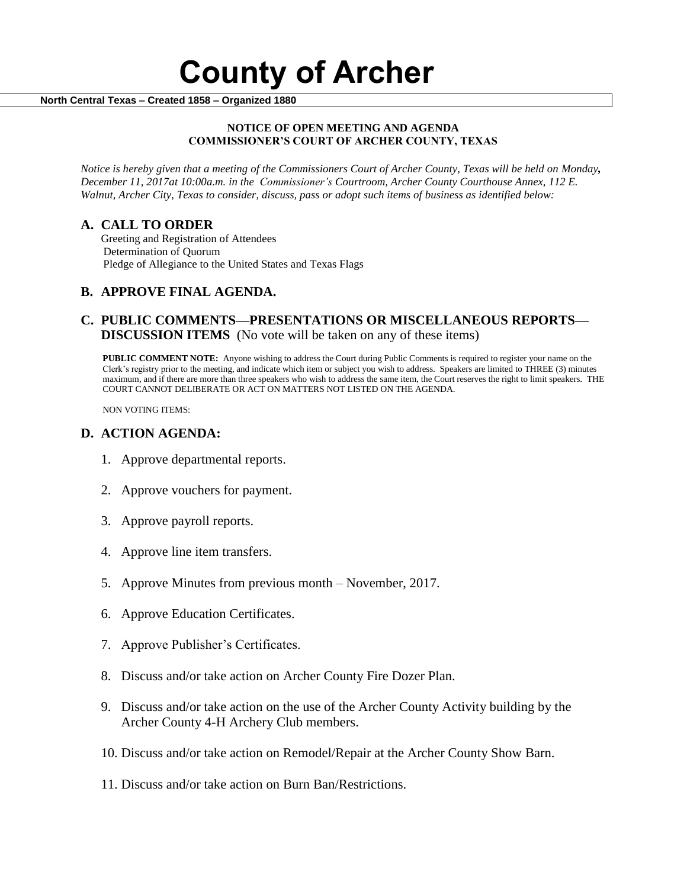**North Central Texas – Created 1858 – Organized 1880**

#### **NOTICE OF OPEN MEETING AND AGENDA COMMISSIONER'S COURT OF ARCHER COUNTY, TEXAS**

*Notice is hereby given that a meeting of the Commissioners Court of Archer County, Texas will be held on Monday, December 11, 2017at 10:00a.m. in the Commissioner's Courtroom, Archer County Courthouse Annex, 112 E. Walnut, Archer City, Texas to consider, discuss, pass or adopt such items of business as identified below:*

### **A. CALL TO ORDER**

 Greeting and Registration of Attendees Determination of Quorum Pledge of Allegiance to the United States and Texas Flags

# **B. APPROVE FINAL AGENDA.**

# **C. PUBLIC COMMENTS—PRESENTATIONS OR MISCELLANEOUS REPORTS— DISCUSSION ITEMS** (No vote will be taken on any of these items)

**PUBLIC COMMENT NOTE:** Anyone wishing to address the Court during Public Comments is required to register your name on the Clerk's registry prior to the meeting, and indicate which item or subject you wish to address. Speakers are limited to THREE (3) minutes maximum, and if there are more than three speakers who wish to address the same item, the Court reserves the right to limit speakers. THE COURT CANNOT DELIBERATE OR ACT ON MATTERS NOT LISTED ON THE AGENDA.

NON VOTING ITEMS:

#### **D. ACTION AGENDA:**

- 1. Approve departmental reports.
- 2. Approve vouchers for payment.
- 3. Approve payroll reports.
- 4. Approve line item transfers.
- 5. Approve Minutes from previous month November, 2017.
- 6. Approve Education Certificates.
- 7. Approve Publisher's Certificates.
- 8. Discuss and/or take action on Archer County Fire Dozer Plan.
- 9. Discuss and/or take action on the use of the Archer County Activity building by the Archer County 4-H Archery Club members.
- 10. Discuss and/or take action on Remodel/Repair at the Archer County Show Barn.
- 11. Discuss and/or take action on Burn Ban/Restrictions.